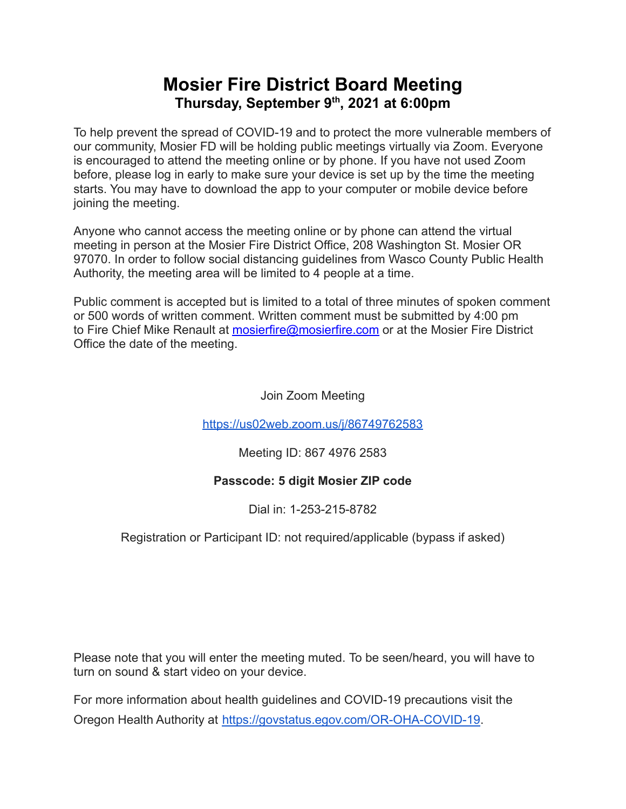# **Mosier Fire District Board Meeting Thursday, September 9 th , 2021 at 6:00pm**

To help prevent the spread of COVID-19 and to protect the more vulnerable members of our community, Mosier FD will be holding public meetings virtually via Zoom. Everyone is encouraged to attend the meeting online or by phone. If you have not used Zoom before, please log in early to make sure your device is set up by the time the meeting starts. You may have to download the app to your computer or mobile device before joining the meeting.

Anyone who cannot access the meeting online or by phone can attend the virtual meeting in person at the Mosier Fire District Office, 208 Washington St. Mosier OR 97070. In order to follow social distancing guidelines from Wasco County Public Health Authority, the meeting area will be limited to 4 people at a time.

Public comment is accepted but is limited to a total of three minutes of spoken comment or 500 words of written comment. Written comment must be submitted by 4:00 pm to Fire Chief Mike Renault at [mosierfire@mosierfire.com](mailto:mosierfire@mosierfire.com) or at the Mosier Fire District Office the date of the meeting.

Join Zoom Meeting

<https://us02web.zoom.us/j/86749762583>

Meeting ID: 867 4976 2583

### **Passcode: 5 digit Mosier ZIP code**

Dial in: 1-253-215-8782

### Registration or Participant ID: not required/applicable (bypass if asked)

Please note that you will enter the meeting muted. To be seen/heard, you will have to turn on sound & start video on your device.

For more information about health guidelines and COVID-19 precautions visit the Oregon Health Authority at [https://govstatus.egov.com/OR-OHA-COVID-19.](https://govstatus.egov.com/OR-OHA-COVID-19)